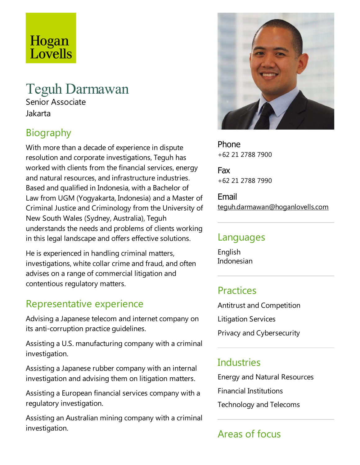# Hogan Lovells

# Teguh Darmawan

Senior Associate Jakarta

# **Biography**

With more than a decade of experience in dispute resolution and corporate investigations, Teguh has worked with clients from the financial services, energy and natural resources, and infrastructure industries. Based and qualified in Indonesia, with a Bachelor of Law from UGM (Yogyakarta, Indonesia) and a Master of Criminal Justice and Criminology from the University of New South Wales (Sydney, Australia), Teguh understands the needs and problems of clients working in this legal landscape and offers effective solutions.

He is experienced in handling criminal matters, investigations, white collar crime and fraud, and often advises on a range of commercial litigation and contentious regulatory matters.

#### Representative experience

Advising a Japanese telecom and internet company on its anti-corruption practice guidelines.

Assisting a U.S. manufacturing company with a criminal investigation.

Assisting a Japanese rubber company with an internal investigation and advising them on litigation matters.

Assisting a European financial services company with a regulatory investigation.

Assisting an Australian mining company with a criminal investigation.



Phone +62 21 2788 7900

Fax +62 21 2788 7990

Email teguh.darmawan@hoganlovells.com

#### Languages

English Indonesian

#### Practices

Antitrust and Competition Litigation Services Privacy and Cybersecurity

#### **Industries**

Energy and Natural Resources Financial Institutions Technology and Telecoms

# Areas of focus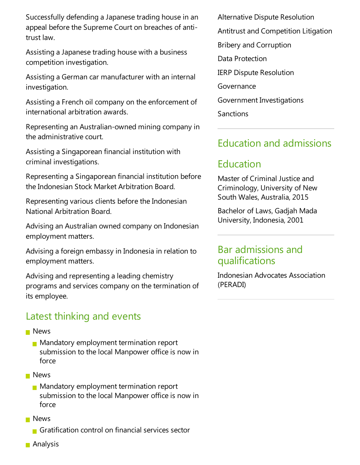Successfully defending a Japanese trading house in an appeal before the Supreme Court on breaches of antitrust law.

Assisting a Japanese trading house with a business competition investigation.

Assisting a German car manufacturer with an internal investigation.

Assisting a French oil company on the enforcement of international arbitration awards.

Representing an Australian-owned mining company in the administrative court.

Assisting a Singaporean financial institution with criminal investigations.

Representing a Singaporean financial institution before the Indonesian Stock Market Arbitration Board.

Representing various clients before the Indonesian National Arbitration Board.

Advising an Australian owned company on Indonesian employment matters.

Advising a foreign embassy in Indonesia in relation to employment matters.

Advising and representing a leading chemistry programs and services company on the termination of its employee.

### Latest thinking and events

- **News** 
	- **Mandatory employment termination report** submission to the local Manpower office is now in force
- **News** 
	- **Mandatory employment termination report** submission to the local Manpower office is now in force
- **News** 
	- Gratification control on financial services sector

Alternative Dispute Resolution Antitrust and Competition Litigation Bribery and Corruption Data Protection IERP Dispute Resolution Governance Government Investigations **Sanctions** 

#### Education and admissions

## Education

Master of Criminal Justice and Criminology, University of New South Wales, Australia, 2015

Bachelor of Laws, Gadjah Mada University, Indonesia, 2001

#### Bar admissions and qualifications

Indonesian Advocates Association (PERADI)

**Analysis**